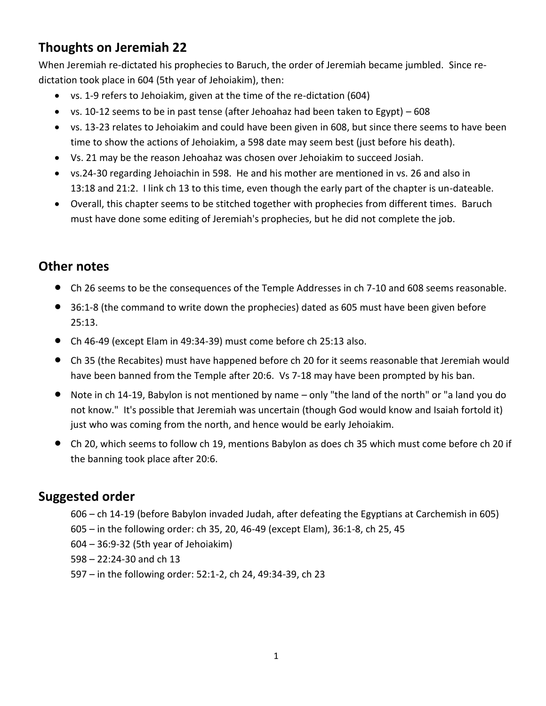## **Thoughts on Jeremiah 22**

When Jeremiah re-dictated his prophecies to Baruch, the order of Jeremiah became jumbled. Since redictation took place in 604 (5th year of Jehoiakim), then:

- vs. 1-9 refers to Jehoiakim, given at the time of the re-dictation (604)
- vs. 10-12 seems to be in past tense (after Jehoahaz had been taken to Egypt) 608
- vs. 13-23 relates to Jehoiakim and could have been given in 608, but since there seems to have been time to show the actions of Jehoiakim, a 598 date may seem best (just before his death).
- Vs. 21 may be the reason Jehoahaz was chosen over Jehoiakim to succeed Josiah.
- vs.24-30 regarding Jehoiachin in 598. He and his mother are mentioned in vs. 26 and also in 13:18 and 21:2. I link ch 13 to this time, even though the early part of the chapter is un-dateable.
- Overall, this chapter seems to be stitched together with prophecies from different times. Baruch must have done some editing of Jeremiah's prophecies, but he did not complete the job.

## **Other notes**

- Ch 26 seems to be the consequences of the Temple Addresses in ch 7-10 and 608 seems reasonable.
- 36:1-8 (the command to write down the prophecies) dated as 605 must have been given before 25:13.
- Ch 46-49 (except Elam in 49:34-39) must come before ch 25:13 also.
- Ch 35 (the Recabites) must have happened before ch 20 for it seems reasonable that Jeremiah would have been banned from the Temple after 20:6. Vs 7-18 may have been prompted by his ban.
- Note in ch 14-19, Babylon is not mentioned by name only "the land of the north" or "a land you do not know." It's possible that Jeremiah was uncertain (though God would know and Isaiah fortold it) just who was coming from the north, and hence would be early Jehoiakim.
- Ch 20, which seems to follow ch 19, mentions Babylon as does ch 35 which must come before ch 20 if the banning took place after 20:6.

## **Suggested order**

- 606 ch 14-19 (before Babylon invaded Judah, after defeating the Egyptians at Carchemish in 605)
- 605 in the following order: ch 35, 20, 46-49 (except Elam), 36:1-8, ch 25, 45
- 604 36:9-32 (5th year of Jehoiakim)
- 598 22:24-30 and ch 13
- 597 in the following order: 52:1-2, ch 24, 49:34-39, ch 23